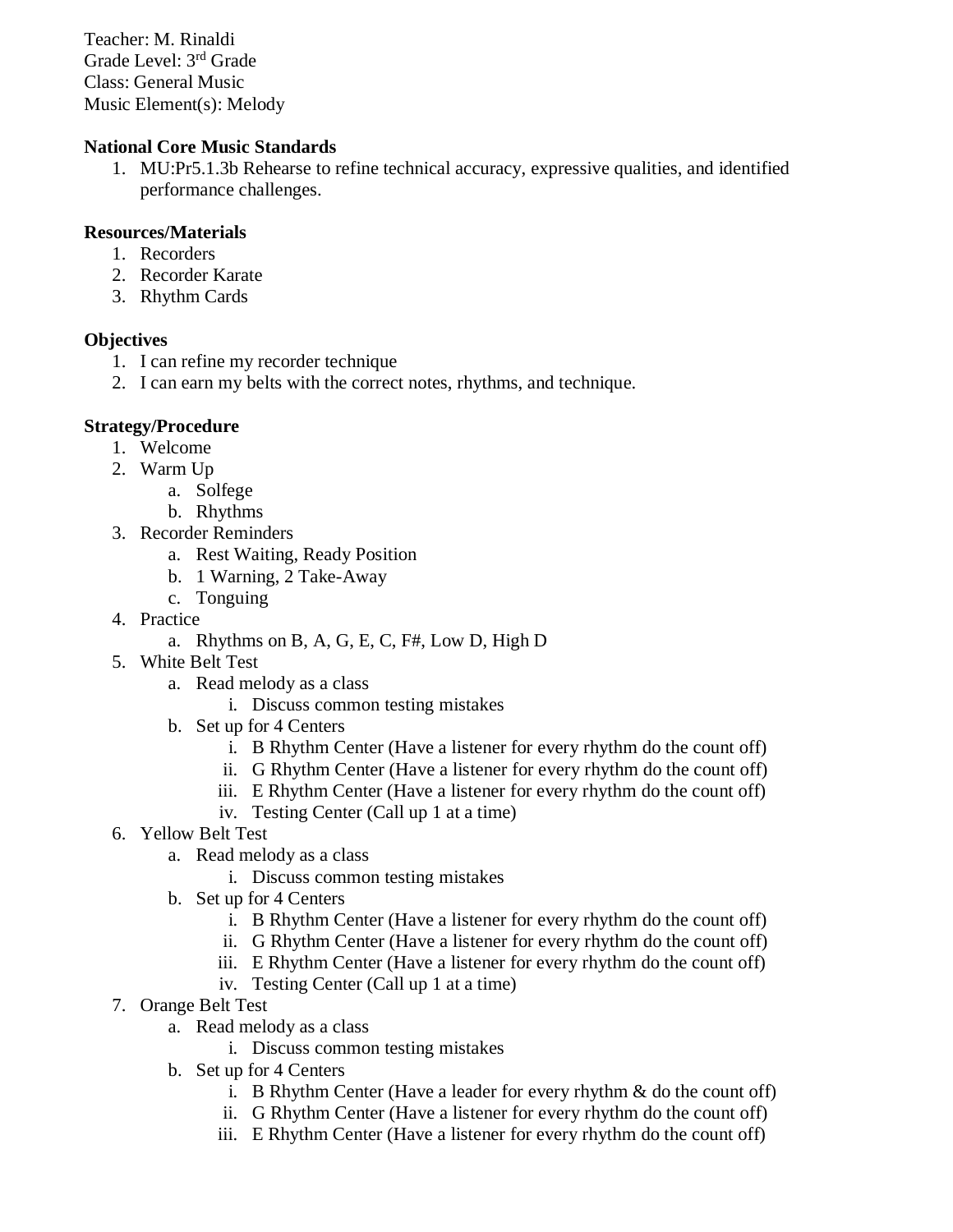Teacher: M. Rinaldi Grade Level: 3 rd Grade Class: General Music Music Element(s): Melody

## **National Core Music Standards**

1. MU:Pr5.1.3b Rehearse to refine technical accuracy, expressive qualities, and identified performance challenges.

## **Resources/Materials**

- 1. Recorders
- 2. Recorder Karate
- 3. Rhythm Cards

## **Objectives**

- 1. I can refine my recorder technique
- 2. I can earn my belts with the correct notes, rhythms, and technique.

## **Strategy/Procedure**

- 1. Welcome
- 2. Warm Up
	- a. Solfege
	- b. Rhythms
- 3. Recorder Reminders
	- a. Rest Waiting, Ready Position
	- b. 1 Warning, 2 Take-Away
	- c. Tonguing
- 4. Practice
	- a. Rhythms on B, A, G, E, C, F#, Low D, High D
- 5. White Belt Test
	- a. Read melody as a class
		- i. Discuss common testing mistakes
	- b. Set up for 4 Centers
		- i. B Rhythm Center (Have a listener for every rhythm do the count off)
		- ii. G Rhythm Center (Have a listener for every rhythm do the count off)
		- iii. E Rhythm Center (Have a listener for every rhythm do the count off)
		- iv. Testing Center (Call up 1 at a time)
- 6. Yellow Belt Test
	- a. Read melody as a class
		- i. Discuss common testing mistakes
	- b. Set up for 4 Centers
		- i. B Rhythm Center (Have a listener for every rhythm do the count off)
		- ii. G Rhythm Center (Have a listener for every rhythm do the count off)
		- iii. E Rhythm Center (Have a listener for every rhythm do the count off)
		- iv. Testing Center (Call up 1 at a time)
- 7. Orange Belt Test
	- a. Read melody as a class
		- i. Discuss common testing mistakes
	- b. Set up for 4 Centers
		- i. B Rhythm Center (Have a leader for every rhythm  $\&$  do the count off)
		- ii. G Rhythm Center (Have a listener for every rhythm do the count off)
		- iii. E Rhythm Center (Have a listener for every rhythm do the count off)